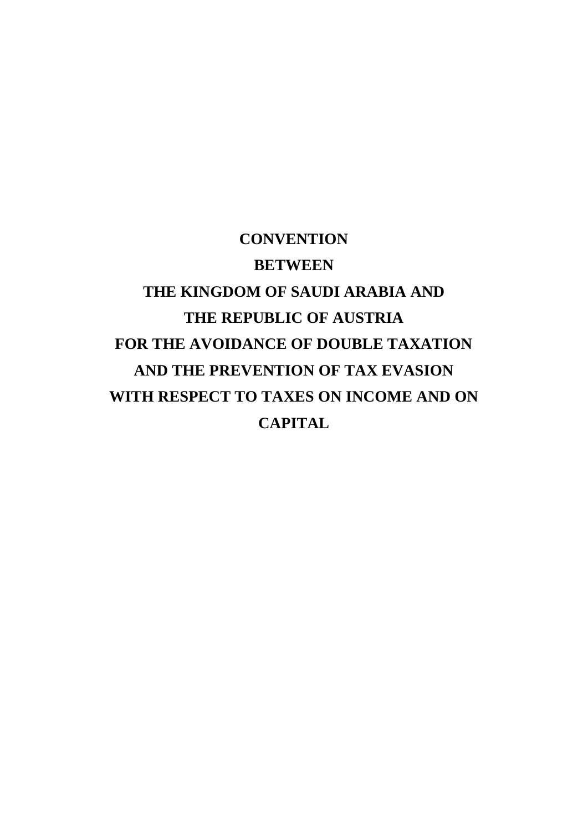# **CONVENTION BETWEEN THE KINGDOM OF SAUDI ARABIA AND THE REPUBLIC OF AUSTRIA FOR THE AVOIDANCE OF DOUBLE TAXATION AND THE PREVENTION OF TAX EVASION WITH RESPECT TO TAXES ON INCOME AND ON CAPITAL**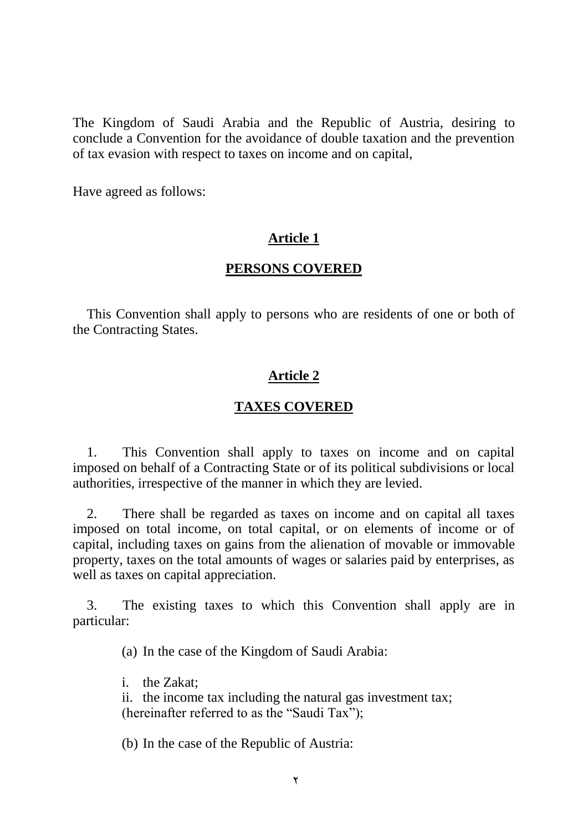The Kingdom of Saudi Arabia and the Republic of Austria, desiring to conclude a Convention for the avoidance of double taxation and the prevention of tax evasion with respect to taxes on income and on capital,

Have agreed as follows:

## **Article 1**

## **PERSONS COVERED**

This Convention shall apply to persons who are residents of one or both of the Contracting States.

## **Article 2**

#### **TAXES COVERED**

1. This Convention shall apply to taxes on income and on capital imposed on behalf of a Contracting State or of its political subdivisions or local authorities, irrespective of the manner in which they are levied.

2. There shall be regarded as taxes on income and on capital all taxes imposed on total income, on total capital, or on elements of income or of capital, including taxes on gains from the alienation of movable or immovable property, taxes on the total amounts of wages or salaries paid by enterprises, as well as taxes on capital appreciation.

3. The existing taxes to which this Convention shall apply are in particular:

(a) In the case of the Kingdom of Saudi Arabia:

i. the Zakat;

ii. the income tax including the natural gas investment tax; (hereinafter referred to as the "Saudi Tax");

(b) In the case of the Republic of Austria: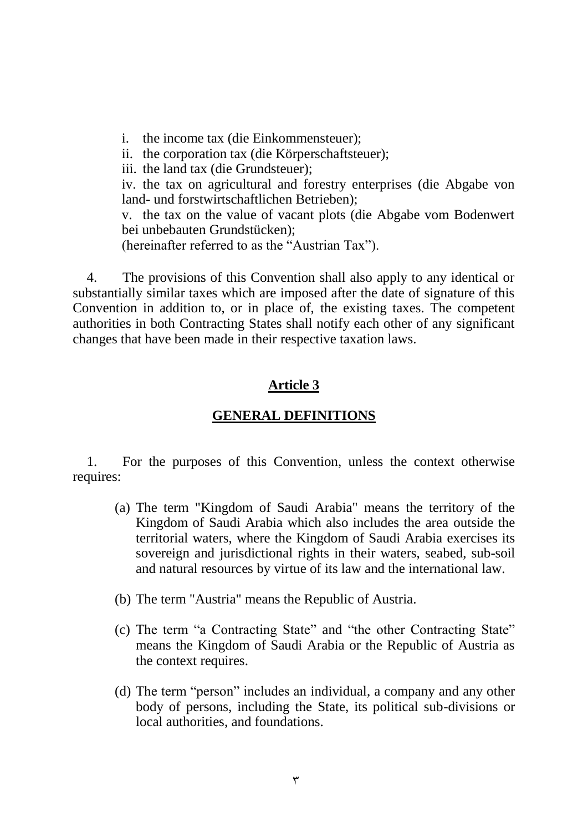i. the income tax (die Einkommensteuer);

ii. the corporation tax (die Körperschaftsteuer);

iii. the land tax (die Grundsteuer);

iv. the tax on agricultural and forestry enterprises (die Abgabe von land- und forstwirtschaftlichen Betrieben);

v. the tax on the value of vacant plots (die Abgabe vom Bodenwert bei unbebauten Grundstücken);

(hereinafter referred to as the "Austrian Tax").

4. The provisions of this Convention shall also apply to any identical or substantially similar taxes which are imposed after the date of signature of this Convention in addition to, or in place of, the existing taxes. The competent authorities in both Contracting States shall notify each other of any significant changes that have been made in their respective taxation laws.

# **Article 3**

## **GENERAL DEFINITIONS**

1. For the purposes of this Convention, unless the context otherwise requires:

- (a) The term "Kingdom of Saudi Arabia" means the territory of the Kingdom of Saudi Arabia which also includes the area outside the territorial waters, where the Kingdom of Saudi Arabia exercises its sovereign and jurisdictional rights in their waters, seabed, sub-soil and natural resources by virtue of its law and the international law.
- (b) The term "Austria" means the Republic of Austria.
- (c) The term "a Contracting State" and "the other Contracting State" means the Kingdom of Saudi Arabia or the Republic of Austria as the context requires.
- (d) The term "person" includes an individual, a company and any other body of persons, including the State, its political sub-divisions or local authorities, and foundations.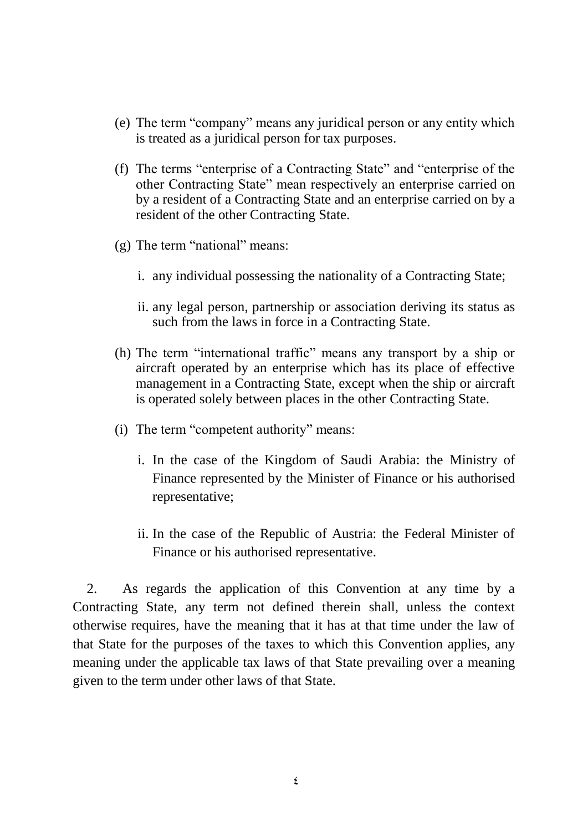- (e) The term "company" means any juridical person or any entity which is treated as a juridical person for tax purposes.
- (f) The terms "enterprise of a Contracting State" and "enterprise of the other Contracting State" mean respectively an enterprise carried on by a resident of a Contracting State and an enterprise carried on by a resident of the other Contracting State.
- (g) The term "national" means:
	- i. any individual possessing the nationality of a Contracting State;
	- ii. any legal person, partnership or association deriving its status as such from the laws in force in a Contracting State.
- (h) The term "international traffic" means any transport by a ship or aircraft operated by an enterprise which has its place of effective management in a Contracting State, except when the ship or aircraft is operated solely between places in the other Contracting State.
- (i) The term "competent authority" means:
	- i. In the case of the Kingdom of Saudi Arabia: the Ministry of Finance represented by the Minister of Finance or his authorised representative;
	- ii. In the case of the Republic of Austria: the Federal Minister of Finance or his authorised representative.

2. As regards the application of this Convention at any time by a Contracting State, any term not defined therein shall, unless the context otherwise requires, have the meaning that it has at that time under the law of that State for the purposes of the taxes to which this Convention applies, any meaning under the applicable tax laws of that State prevailing over a meaning given to the term under other laws of that State.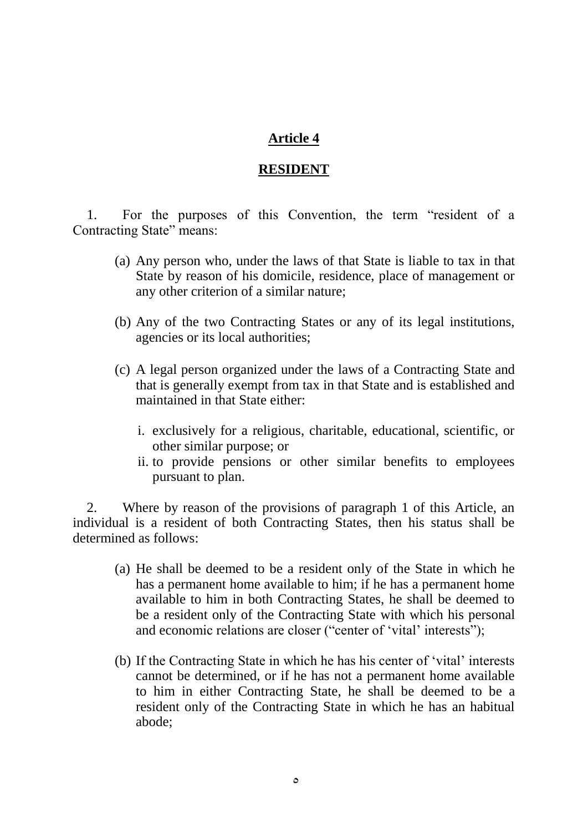## **RESIDENT**

1. For the purposes of this Convention, the term "resident of a Contracting State" means:

- (a) Any person who, under the laws of that State is liable to tax in that State by reason of his domicile, residence, place of management or any other criterion of a similar nature;
- (b) Any of the two Contracting States or any of its legal institutions, agencies or its local authorities;
- (c) A legal person organized under the laws of a Contracting State and that is generally exempt from tax in that State and is established and maintained in that State either:
	- i. exclusively for a religious, charitable, educational, scientific, or other similar purpose; or
	- ii. to provide pensions or other similar benefits to employees pursuant to plan.

2. Where by reason of the provisions of paragraph 1 of this Article, an individual is a resident of both Contracting States, then his status shall be determined as follows:

- (a) He shall be deemed to be a resident only of the State in which he has a permanent home available to him; if he has a permanent home available to him in both Contracting States, he shall be deemed to be a resident only of the Contracting State with which his personal and economic relations are closer ("center of 'vital' interests");
- (b) If the Contracting State in which he has his center of 'vital' interests cannot be determined, or if he has not a permanent home available to him in either Contracting State, he shall be deemed to be a resident only of the Contracting State in which he has an habitual abode;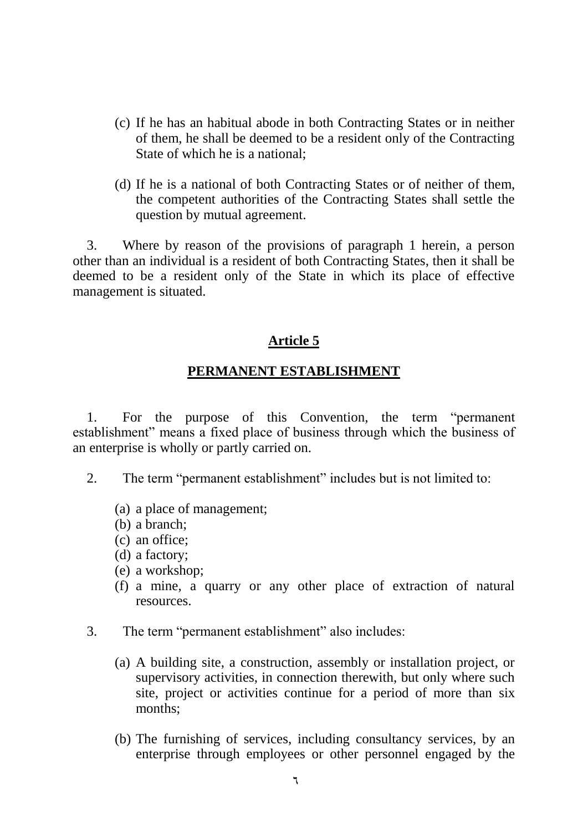- (c) If he has an habitual abode in both Contracting States or in neither of them, he shall be deemed to be a resident only of the Contracting State of which he is a national;
- (d) If he is a national of both Contracting States or of neither of them, the competent authorities of the Contracting States shall settle the question by mutual agreement.

3. Where by reason of the provisions of paragraph 1 herein, a person other than an individual is a resident of both Contracting States, then it shall be deemed to be a resident only of the State in which its place of effective management is situated.

#### **Article 5**

#### **PERMANENT ESTABLISHMENT**

1. For the purpose of this Convention, the term "permanent establishment" means a fixed place of business through which the business of an enterprise is wholly or partly carried on.

- 2. The term "permanent establishment" includes but is not limited to:
	- (a) a place of management;
	- (b) a branch;
	- (c) an office;
	- (d) a factory;
	- (e) a workshop;
	- (f) a mine, a quarry or any other place of extraction of natural resources.
- 3. The term "permanent establishment" also includes:
	- (a) A building site, a construction, assembly or installation project, or supervisory activities, in connection therewith, but only where such site, project or activities continue for a period of more than six months;
	- (b) The furnishing of services, including consultancy services, by an enterprise through employees or other personnel engaged by the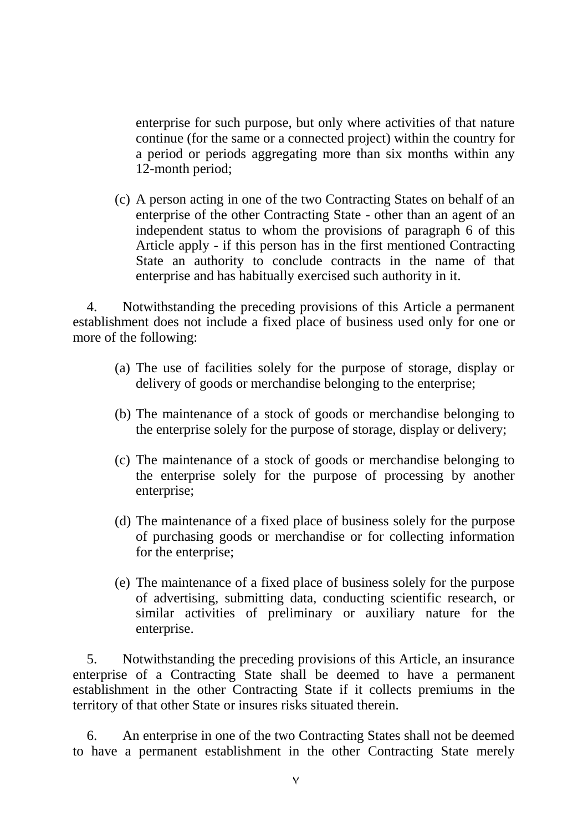enterprise for such purpose, but only where activities of that nature continue (for the same or a connected project) within the country for a period or periods aggregating more than six months within any 12-month period;

(c) A person acting in one of the two Contracting States on behalf of an enterprise of the other Contracting State - other than an agent of an independent status to whom the provisions of paragraph 6 of this Article apply - if this person has in the first mentioned Contracting State an authority to conclude contracts in the name of that enterprise and has habitually exercised such authority in it.

4. Notwithstanding the preceding provisions of this Article a permanent establishment does not include a fixed place of business used only for one or more of the following:

- (a) The use of facilities solely for the purpose of storage, display or delivery of goods or merchandise belonging to the enterprise;
- (b) The maintenance of a stock of goods or merchandise belonging to the enterprise solely for the purpose of storage, display or delivery;
- (c) The maintenance of a stock of goods or merchandise belonging to the enterprise solely for the purpose of processing by another enterprise;
- (d) The maintenance of a fixed place of business solely for the purpose of purchasing goods or merchandise or for collecting information for the enterprise;
- (e) The maintenance of a fixed place of business solely for the purpose of advertising, submitting data, conducting scientific research, or similar activities of preliminary or auxiliary nature for the enterprise.

5. Notwithstanding the preceding provisions of this Article, an insurance enterprise of a Contracting State shall be deemed to have a permanent establishment in the other Contracting State if it collects premiums in the territory of that other State or insures risks situated therein.

6. An enterprise in one of the two Contracting States shall not be deemed to have a permanent establishment in the other Contracting State merely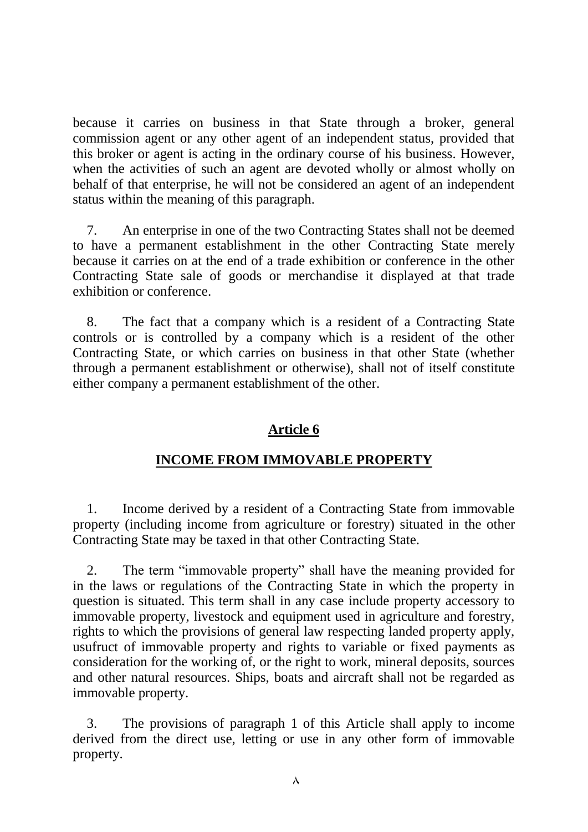because it carries on business in that State through a broker, general commission agent or any other agent of an independent status, provided that this broker or agent is acting in the ordinary course of his business. However, when the activities of such an agent are devoted wholly or almost wholly on behalf of that enterprise, he will not be considered an agent of an independent status within the meaning of this paragraph.

7. An enterprise in one of the two Contracting States shall not be deemed to have a permanent establishment in the other Contracting State merely because it carries on at the end of a trade exhibition or conference in the other Contracting State sale of goods or merchandise it displayed at that trade exhibition or conference.

8. The fact that a company which is a resident of a Contracting State controls or is controlled by a company which is a resident of the other Contracting State, or which carries on business in that other State (whether through a permanent establishment or otherwise), shall not of itself constitute either company a permanent establishment of the other.

## **Article 6**

## **INCOME FROM IMMOVABLE PROPERTY**

1. Income derived by a resident of a Contracting State from immovable property (including income from agriculture or forestry) situated in the other Contracting State may be taxed in that other Contracting State.

2. The term "immovable property" shall have the meaning provided for in the laws or regulations of the Contracting State in which the property in question is situated. This term shall in any case include property accessory to immovable property, livestock and equipment used in agriculture and forestry, rights to which the provisions of general law respecting landed property apply, usufruct of immovable property and rights to variable or fixed payments as consideration for the working of, or the right to work, mineral deposits, sources and other natural resources. Ships, boats and aircraft shall not be regarded as immovable property.

3. The provisions of paragraph 1 of this Article shall apply to income derived from the direct use, letting or use in any other form of immovable property.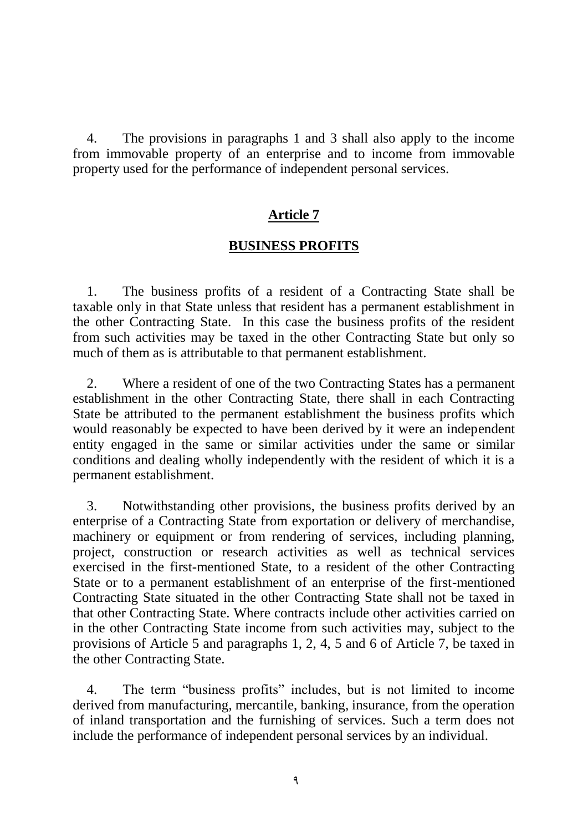4. The provisions in paragraphs 1 and 3 shall also apply to the income from immovable property of an enterprise and to income from immovable property used for the performance of independent personal services.

#### **Article 7**

#### **BUSINESS PROFITS**

1. The business profits of a resident of a Contracting State shall be taxable only in that State unless that resident has a permanent establishment in the other Contracting State. In this case the business profits of the resident from such activities may be taxed in the other Contracting State but only so much of them as is attributable to that permanent establishment.

2. Where a resident of one of the two Contracting States has a permanent establishment in the other Contracting State, there shall in each Contracting State be attributed to the permanent establishment the business profits which would reasonably be expected to have been derived by it were an independent entity engaged in the same or similar activities under the same or similar conditions and dealing wholly independently with the resident of which it is a permanent establishment.

3. Notwithstanding other provisions, the business profits derived by an enterprise of a Contracting State from exportation or delivery of merchandise, machinery or equipment or from rendering of services, including planning, project, construction or research activities as well as technical services exercised in the first-mentioned State, to a resident of the other Contracting State or to a permanent establishment of an enterprise of the first-mentioned Contracting State situated in the other Contracting State shall not be taxed in that other Contracting State. Where contracts include other activities carried on in the other Contracting State income from such activities may, subject to the provisions of Article 5 and paragraphs 1, 2, 4, 5 and 6 of Article 7, be taxed in the other Contracting State.

4. The term "business profits" includes, but is not limited to income derived from manufacturing, mercantile, banking, insurance, from the operation of inland transportation and the furnishing of services. Such a term does not include the performance of independent personal services by an individual.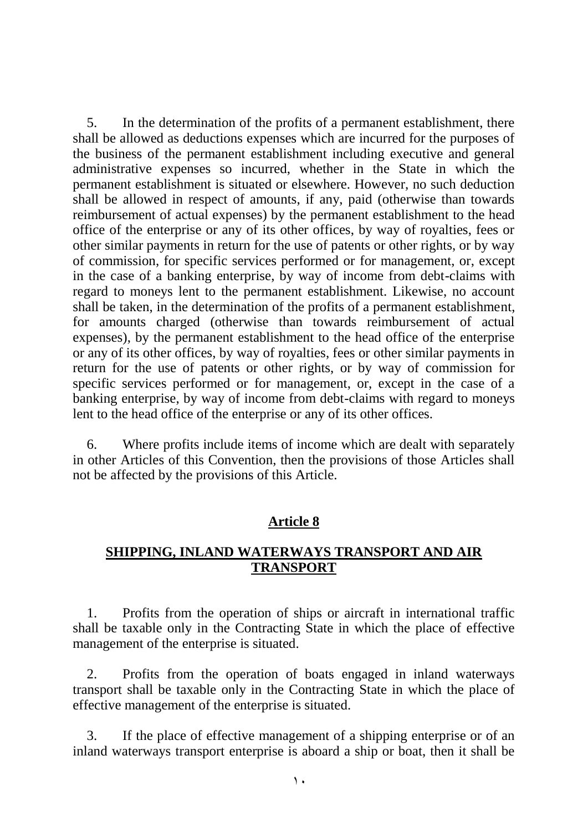5. In the determination of the profits of a permanent establishment, there shall be allowed as deductions expenses which are incurred for the purposes of the business of the permanent establishment including executive and general administrative expenses so incurred, whether in the State in which the permanent establishment is situated or elsewhere. However, no such deduction shall be allowed in respect of amounts, if any, paid (otherwise than towards reimbursement of actual expenses) by the permanent establishment to the head office of the enterprise or any of its other offices, by way of royalties, fees or other similar payments in return for the use of patents or other rights, or by way of commission, for specific services performed or for management, or, except in the case of a banking enterprise, by way of income from debt-claims with regard to moneys lent to the permanent establishment. Likewise, no account shall be taken, in the determination of the profits of a permanent establishment, for amounts charged (otherwise than towards reimbursement of actual expenses), by the permanent establishment to the head office of the enterprise or any of its other offices, by way of royalties, fees or other similar payments in return for the use of patents or other rights, or by way of commission for specific services performed or for management, or, except in the case of a banking enterprise, by way of income from debt-claims with regard to moneys lent to the head office of the enterprise or any of its other offices.

6. Where profits include items of income which are dealt with separately in other Articles of this Convention, then the provisions of those Articles shall not be affected by the provisions of this Article.

#### **Article 8**

#### **SHIPPING, INLAND WATERWAYS TRANSPORT AND AIR TRANSPORT**

1. Profits from the operation of ships or aircraft in international traffic shall be taxable only in the Contracting State in which the place of effective management of the enterprise is situated.

2. Profits from the operation of boats engaged in inland waterways transport shall be taxable only in the Contracting State in which the place of effective management of the enterprise is situated.

3. If the place of effective management of a shipping enterprise or of an inland waterways transport enterprise is aboard a ship or boat, then it shall be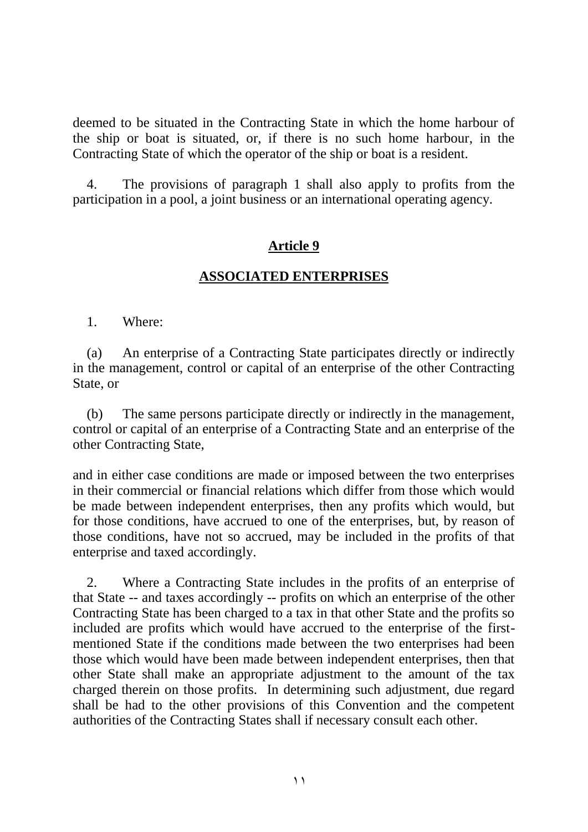deemed to be situated in the Contracting State in which the home harbour of the ship or boat is situated, or, if there is no such home harbour, in the Contracting State of which the operator of the ship or boat is a resident.

4. The provisions of paragraph 1 shall also apply to profits from the participation in a pool, a joint business or an international operating agency.

## **Article 9**

#### **ASSOCIATED ENTERPRISES**

1. Where:

(a) An enterprise of a Contracting State participates directly or indirectly in the management, control or capital of an enterprise of the other Contracting State, or

(b) The same persons participate directly or indirectly in the management, control or capital of an enterprise of a Contracting State and an enterprise of the other Contracting State,

and in either case conditions are made or imposed between the two enterprises in their commercial or financial relations which differ from those which would be made between independent enterprises, then any profits which would, but for those conditions, have accrued to one of the enterprises, but, by reason of those conditions, have not so accrued, may be included in the profits of that enterprise and taxed accordingly.

2. Where a Contracting State includes in the profits of an enterprise of that State -- and taxes accordingly -- profits on which an enterprise of the other Contracting State has been charged to a tax in that other State and the profits so included are profits which would have accrued to the enterprise of the firstmentioned State if the conditions made between the two enterprises had been those which would have been made between independent enterprises, then that other State shall make an appropriate adjustment to the amount of the tax charged therein on those profits. In determining such adjustment, due regard shall be had to the other provisions of this Convention and the competent authorities of the Contracting States shall if necessary consult each other.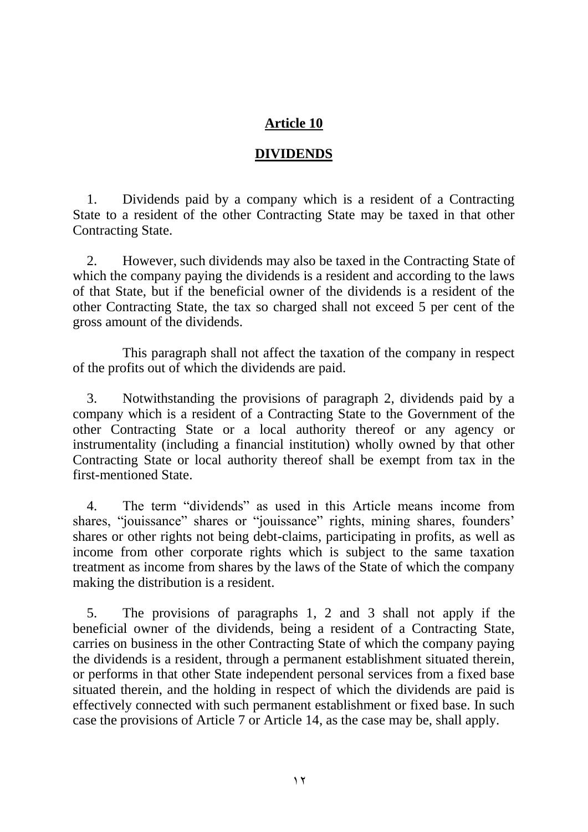# **DIVIDENDS**

1. Dividends paid by a company which is a resident of a Contracting State to a resident of the other Contracting State may be taxed in that other Contracting State.

2. However, such dividends may also be taxed in the Contracting State of which the company paying the dividends is a resident and according to the laws of that State, but if the beneficial owner of the dividends is a resident of the other Contracting State, the tax so charged shall not exceed 5 per cent of the gross amount of the dividends.

This paragraph shall not affect the taxation of the company in respect of the profits out of which the dividends are paid.

3. Notwithstanding the provisions of paragraph 2, dividends paid by a company which is a resident of a Contracting State to the Government of the other Contracting State or a local authority thereof or any agency or instrumentality (including a financial institution) wholly owned by that other Contracting State or local authority thereof shall be exempt from tax in the first-mentioned State.

4. The term "dividends" as used in this Article means income from shares, "jouissance" shares or "jouissance" rights, mining shares, founders' shares or other rights not being debt-claims, participating in profits, as well as income from other corporate rights which is subject to the same taxation treatment as income from shares by the laws of the State of which the company making the distribution is a resident.

5. The provisions of paragraphs 1, 2 and 3 shall not apply if the beneficial owner of the dividends, being a resident of a Contracting State, carries on business in the other Contracting State of which the company paying the dividends is a resident, through a permanent establishment situated therein, or performs in that other State independent personal services from a fixed base situated therein, and the holding in respect of which the dividends are paid is effectively connected with such permanent establishment or fixed base. In such case the provisions of Article 7 or Article 14, as the case may be, shall apply.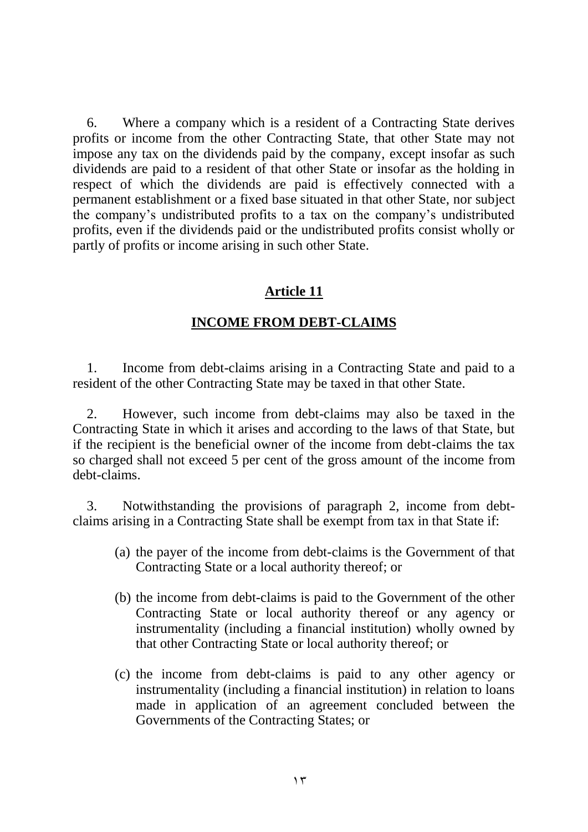6. Where a company which is a resident of a Contracting State derives profits or income from the other Contracting State, that other State may not impose any tax on the dividends paid by the company, except insofar as such dividends are paid to a resident of that other State or insofar as the holding in respect of which the dividends are paid is effectively connected with a permanent establishment or a fixed base situated in that other State, nor subject the company's undistributed profits to a tax on the company's undistributed profits, even if the dividends paid or the undistributed profits consist wholly or partly of profits or income arising in such other State.

## **Article 11**

#### **INCOME FROM DEBT-CLAIMS**

1. Income from debt-claims arising in a Contracting State and paid to a resident of the other Contracting State may be taxed in that other State.

2. However, such income from debt-claims may also be taxed in the Contracting State in which it arises and according to the laws of that State, but if the recipient is the beneficial owner of the income from debt-claims the tax so charged shall not exceed 5 per cent of the gross amount of the income from debt-claims.

3. Notwithstanding the provisions of paragraph 2, income from debtclaims arising in a Contracting State shall be exempt from tax in that State if:

- (a) the payer of the income from debt-claims is the Government of that Contracting State or a local authority thereof; or
- (b) the income from debt-claims is paid to the Government of the other Contracting State or local authority thereof or any agency or instrumentality (including a financial institution) wholly owned by that other Contracting State or local authority thereof; or
- (c) the income from debt-claims is paid to any other agency or instrumentality (including a financial institution) in relation to loans made in application of an agreement concluded between the Governments of the Contracting States; or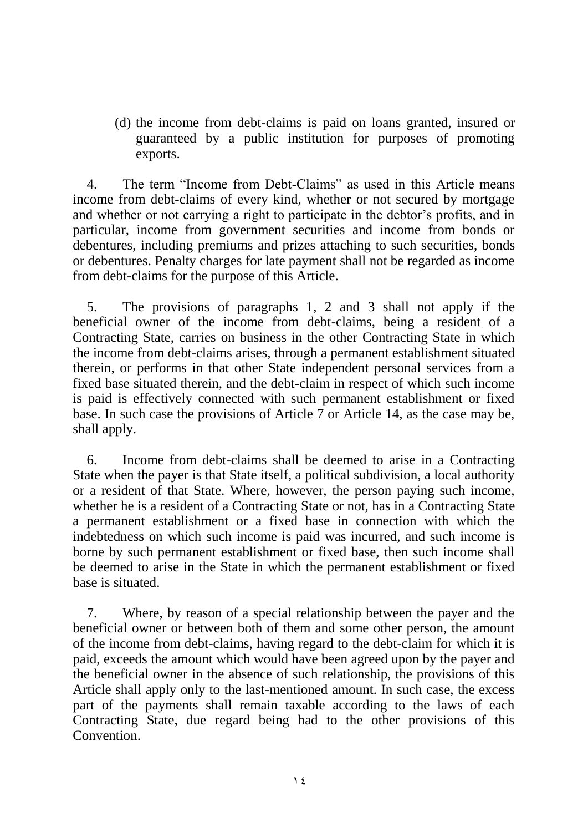(d) the income from debt-claims is paid on loans granted, insured or guaranteed by a public institution for purposes of promoting exports.

4. The term "Income from Debt-Claims" as used in this Article means income from debt-claims of every kind, whether or not secured by mortgage and whether or not carrying a right to participate in the debtor's profits, and in particular, income from government securities and income from bonds or debentures, including premiums and prizes attaching to such securities, bonds or debentures. Penalty charges for late payment shall not be regarded as income from debt-claims for the purpose of this Article.

5. The provisions of paragraphs 1, 2 and 3 shall not apply if the beneficial owner of the income from debt-claims, being a resident of a Contracting State, carries on business in the other Contracting State in which the income from debt-claims arises, through a permanent establishment situated therein, or performs in that other State independent personal services from a fixed base situated therein, and the debt-claim in respect of which such income is paid is effectively connected with such permanent establishment or fixed base. In such case the provisions of Article 7 or Article 14, as the case may be, shall apply.

6. Income from debt-claims shall be deemed to arise in a Contracting State when the payer is that State itself, a political subdivision, a local authority or a resident of that State. Where, however, the person paying such income, whether he is a resident of a Contracting State or not, has in a Contracting State a permanent establishment or a fixed base in connection with which the indebtedness on which such income is paid was incurred, and such income is borne by such permanent establishment or fixed base, then such income shall be deemed to arise in the State in which the permanent establishment or fixed base is situated.

7. Where, by reason of a special relationship between the payer and the beneficial owner or between both of them and some other person, the amount of the income from debt-claims, having regard to the debt-claim for which it is paid, exceeds the amount which would have been agreed upon by the payer and the beneficial owner in the absence of such relationship, the provisions of this Article shall apply only to the last-mentioned amount. In such case, the excess part of the payments shall remain taxable according to the laws of each Contracting State, due regard being had to the other provisions of this Convention.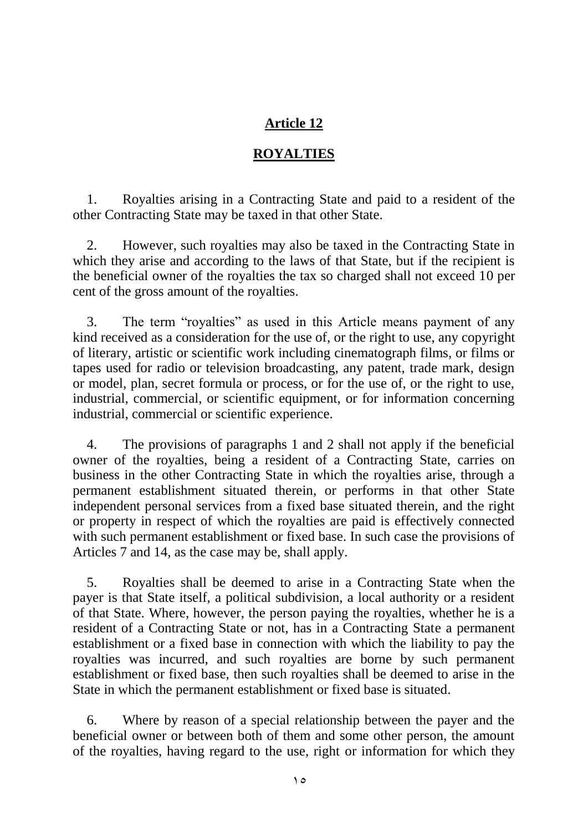# **ROYALTIES**

1. Royalties arising in a Contracting State and paid to a resident of the other Contracting State may be taxed in that other State.

2. However, such royalties may also be taxed in the Contracting State in which they arise and according to the laws of that State, but if the recipient is the beneficial owner of the royalties the tax so charged shall not exceed 10 per cent of the gross amount of the royalties.

3. The term "royalties" as used in this Article means payment of any kind received as a consideration for the use of, or the right to use, any copyright of literary, artistic or scientific work including cinematograph films, or films or tapes used for radio or television broadcasting, any patent, trade mark, design or model, plan, secret formula or process, or for the use of, or the right to use, industrial, commercial, or scientific equipment, or for information concerning industrial, commercial or scientific experience.

4. The provisions of paragraphs 1 and 2 shall not apply if the beneficial owner of the royalties, being a resident of a Contracting State, carries on business in the other Contracting State in which the royalties arise, through a permanent establishment situated therein, or performs in that other State independent personal services from a fixed base situated therein, and the right or property in respect of which the royalties are paid is effectively connected with such permanent establishment or fixed base. In such case the provisions of Articles 7 and 14, as the case may be, shall apply.

5. Royalties shall be deemed to arise in a Contracting State when the payer is that State itself, a political subdivision, a local authority or a resident of that State. Where, however, the person paying the royalties, whether he is a resident of a Contracting State or not, has in a Contracting State a permanent establishment or a fixed base in connection with which the liability to pay the royalties was incurred, and such royalties are borne by such permanent establishment or fixed base, then such royalties shall be deemed to arise in the State in which the permanent establishment or fixed base is situated.

6. Where by reason of a special relationship between the payer and the beneficial owner or between both of them and some other person, the amount of the royalties, having regard to the use, right or information for which they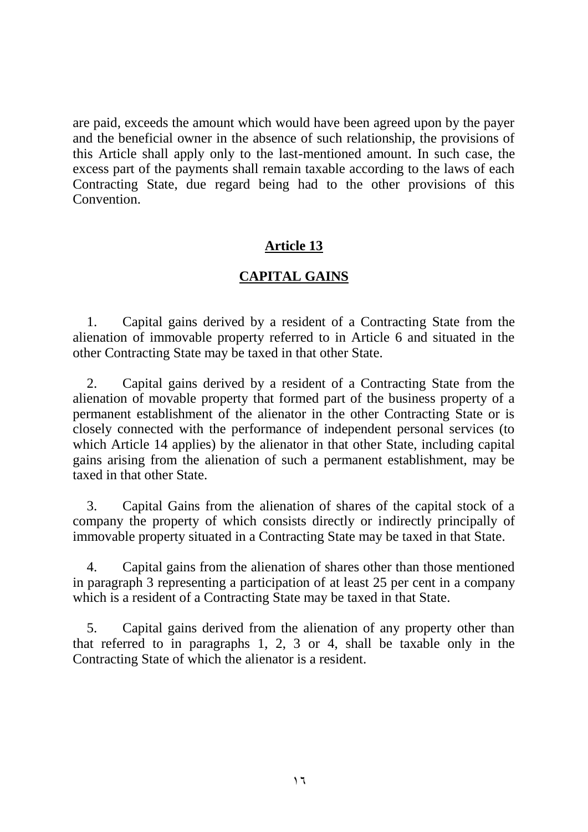are paid, exceeds the amount which would have been agreed upon by the payer and the beneficial owner in the absence of such relationship, the provisions of this Article shall apply only to the last-mentioned amount. In such case, the excess part of the payments shall remain taxable according to the laws of each Contracting State, due regard being had to the other provisions of this **Convention** 

## **Article 13**

## **CAPITAL GAINS**

1. Capital gains derived by a resident of a Contracting State from the alienation of immovable property referred to in Article 6 and situated in the other Contracting State may be taxed in that other State.

2. Capital gains derived by a resident of a Contracting State from the alienation of movable property that formed part of the business property of a permanent establishment of the alienator in the other Contracting State or is closely connected with the performance of independent personal services (to which Article 14 applies) by the alienator in that other State, including capital gains arising from the alienation of such a permanent establishment, may be taxed in that other State.

3. Capital Gains from the alienation of shares of the capital stock of a company the property of which consists directly or indirectly principally of immovable property situated in a Contracting State may be taxed in that State.

4. Capital gains from the alienation of shares other than those mentioned in paragraph 3 representing a participation of at least 25 per cent in a company which is a resident of a Contracting State may be taxed in that State.

5. Capital gains derived from the alienation of any property other than that referred to in paragraphs 1, 2, 3 or 4, shall be taxable only in the Contracting State of which the alienator is a resident.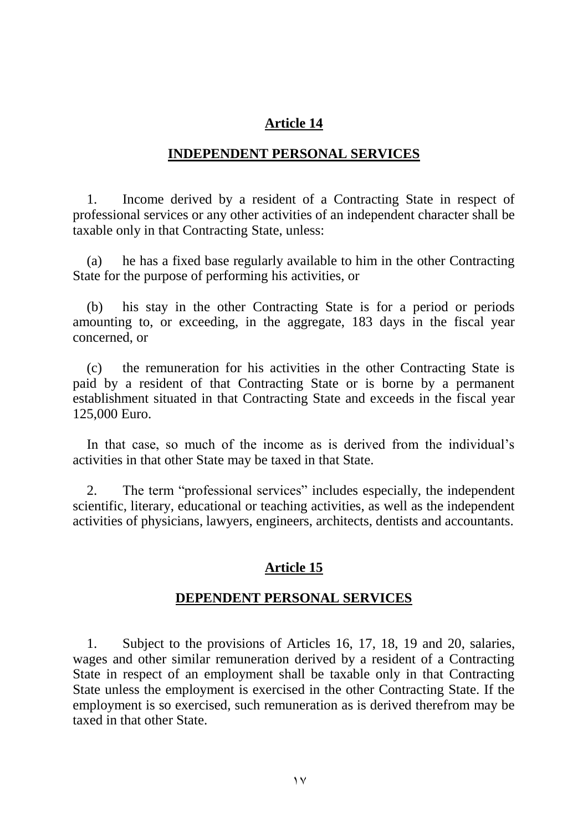#### **INDEPENDENT PERSONAL SERVICES**

1. Income derived by a resident of a Contracting State in respect of professional services or any other activities of an independent character shall be taxable only in that Contracting State, unless:

(a) he has a fixed base regularly available to him in the other Contracting State for the purpose of performing his activities, or

(b) his stay in the other Contracting State is for a period or periods amounting to, or exceeding, in the aggregate, 183 days in the fiscal year concerned, or

(c) the remuneration for his activities in the other Contracting State is paid by a resident of that Contracting State or is borne by a permanent establishment situated in that Contracting State and exceeds in the fiscal year 125,000 Euro.

In that case, so much of the income as is derived from the individual's activities in that other State may be taxed in that State.

2. The term "professional services" includes especially, the independent scientific, literary, educational or teaching activities, as well as the independent activities of physicians, lawyers, engineers, architects, dentists and accountants.

#### **Article 15**

#### **DEPENDENT PERSONAL SERVICES**

1. Subject to the provisions of Articles 16, 17, 18, 19 and 20, salaries, wages and other similar remuneration derived by a resident of a Contracting State in respect of an employment shall be taxable only in that Contracting State unless the employment is exercised in the other Contracting State. If the employment is so exercised, such remuneration as is derived therefrom may be taxed in that other State.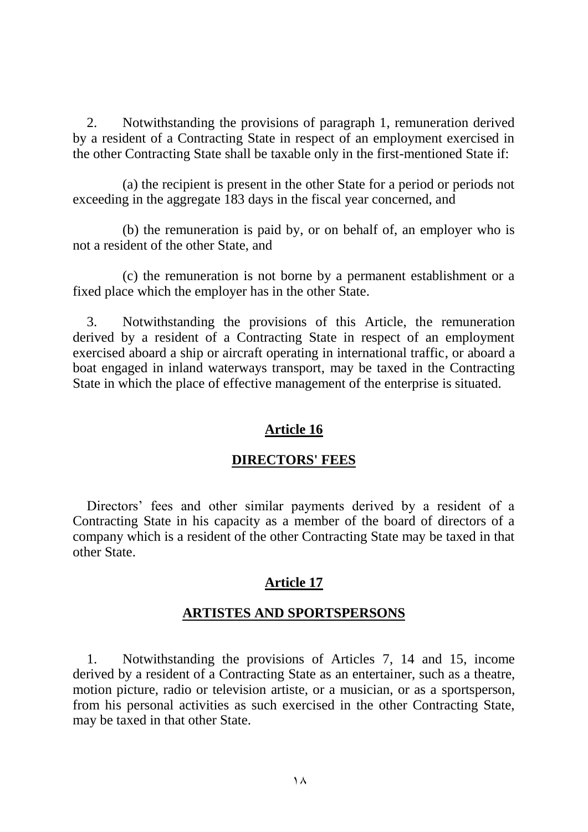2. Notwithstanding the provisions of paragraph 1, remuneration derived by a resident of a Contracting State in respect of an employment exercised in the other Contracting State shall be taxable only in the first-mentioned State if:

(a) the recipient is present in the other State for a period or periods not exceeding in the aggregate 183 days in the fiscal year concerned, and

(b) the remuneration is paid by, or on behalf of, an employer who is not a resident of the other State, and

(c) the remuneration is not borne by a permanent establishment or a fixed place which the employer has in the other State.

3. Notwithstanding the provisions of this Article, the remuneration derived by a resident of a Contracting State in respect of an employment exercised aboard a ship or aircraft operating in international traffic, or aboard a boat engaged in inland waterways transport, may be taxed in the Contracting State in which the place of effective management of the enterprise is situated.

## **Article 16**

## **DIRECTORS' FEES**

Directors' fees and other similar payments derived by a resident of a Contracting State in his capacity as a member of the board of directors of a company which is a resident of the other Contracting State may be taxed in that other State.

## **Article 17**

## **ARTISTES AND SPORTSPERSONS**

1. Notwithstanding the provisions of Articles 7, 14 and 15, income derived by a resident of a Contracting State as an entertainer, such as a theatre, motion picture, radio or television artiste, or a musician, or as a sportsperson, from his personal activities as such exercised in the other Contracting State, may be taxed in that other State.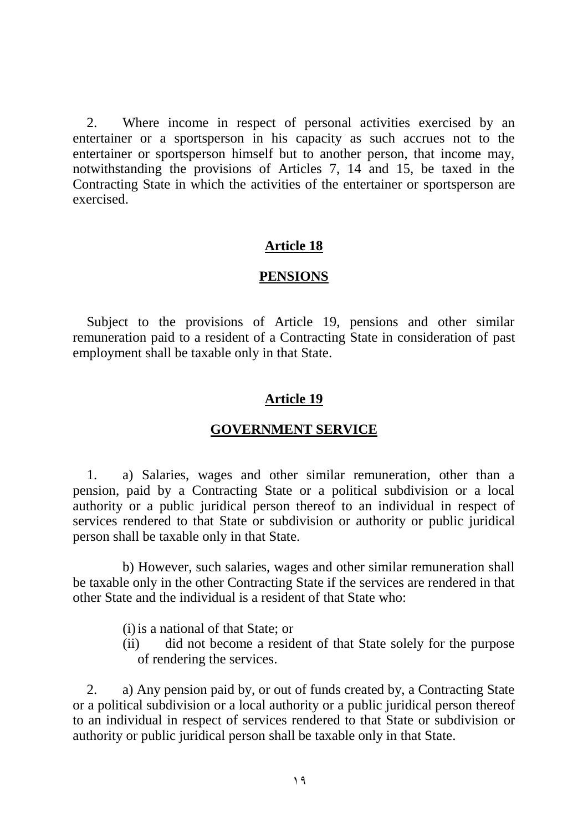2. Where income in respect of personal activities exercised by an entertainer or a sportsperson in his capacity as such accrues not to the entertainer or sportsperson himself but to another person, that income may, notwithstanding the provisions of Articles 7, 14 and 15, be taxed in the Contracting State in which the activities of the entertainer or sportsperson are exercised.

#### **Article 18**

#### **PENSIONS**

Subject to the provisions of Article 19, pensions and other similar remuneration paid to a resident of a Contracting State in consideration of past employment shall be taxable only in that State.

#### **Article 19**

#### **GOVERNMENT SERVICE**

1. a) Salaries, wages and other similar remuneration, other than a pension, paid by a Contracting State or a political subdivision or a local authority or a public juridical person thereof to an individual in respect of services rendered to that State or subdivision or authority or public juridical person shall be taxable only in that State.

b) However, such salaries, wages and other similar remuneration shall be taxable only in the other Contracting State if the services are rendered in that other State and the individual is a resident of that State who:

- (i)is a national of that State; or
- (ii) did not become a resident of that State solely for the purpose of rendering the services.

2. a) Any pension paid by, or out of funds created by, a Contracting State or a political subdivision or a local authority or a public juridical person thereof to an individual in respect of services rendered to that State or subdivision or authority or public juridical person shall be taxable only in that State.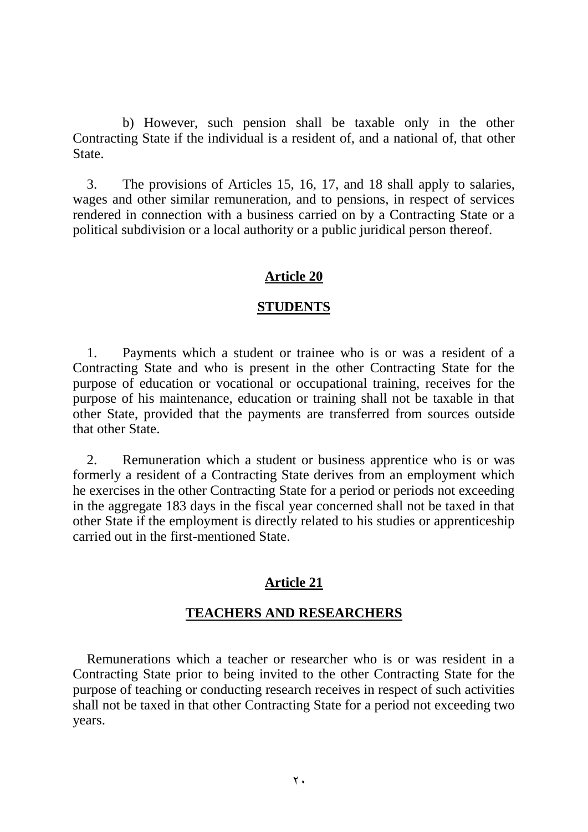b) However, such pension shall be taxable only in the other Contracting State if the individual is a resident of, and a national of, that other State.

3. The provisions of Articles 15, 16, 17, and 18 shall apply to salaries, wages and other similar remuneration, and to pensions, in respect of services rendered in connection with a business carried on by a Contracting State or a political subdivision or a local authority or a public juridical person thereof.

## **Article 20**

#### **STUDENTS**

1. Payments which a student or trainee who is or was a resident of a Contracting State and who is present in the other Contracting State for the purpose of education or vocational or occupational training, receives for the purpose of his maintenance, education or training shall not be taxable in that other State, provided that the payments are transferred from sources outside that other State.

2. Remuneration which a student or business apprentice who is or was formerly a resident of a Contracting State derives from an employment which he exercises in the other Contracting State for a period or periods not exceeding in the aggregate 183 days in the fiscal year concerned shall not be taxed in that other State if the employment is directly related to his studies or apprenticeship carried out in the first-mentioned State.

#### **Article 21**

#### **TEACHERS AND RESEARCHERS**

Remunerations which a teacher or researcher who is or was resident in a Contracting State prior to being invited to the other Contracting State for the purpose of teaching or conducting research receives in respect of such activities shall not be taxed in that other Contracting State for a period not exceeding two years.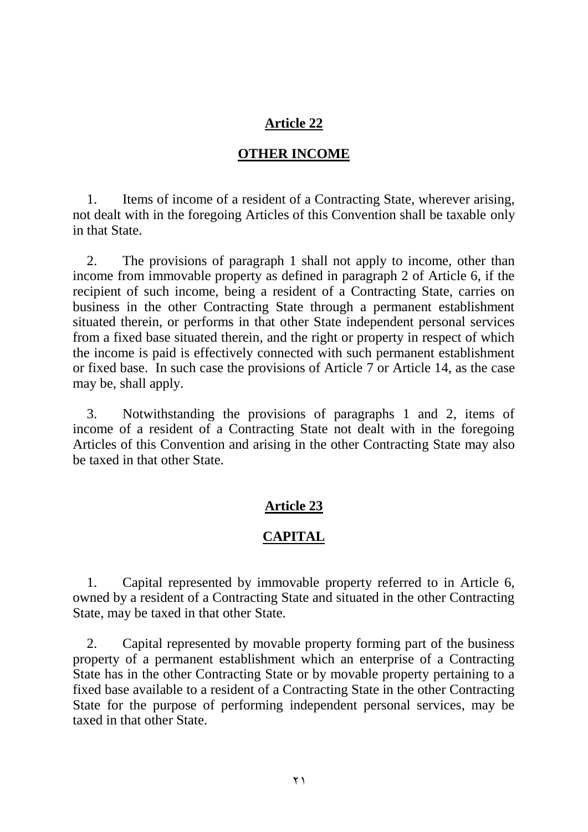### **OTHER INCOME**

1. Items of income of a resident of a Contracting State, wherever arising, not dealt with in the foregoing Articles of this Convention shall be taxable only in that State.

2. The provisions of paragraph 1 shall not apply to income, other than income from immovable property as defined in paragraph 2 of Article 6, if the recipient of such income, being a resident of a Contracting State, carries on business in the other Contracting State through a permanent establishment situated therein, or performs in that other State independent personal services from a fixed base situated therein, and the right or property in respect of which the income is paid is effectively connected with such permanent establishment or fixed base. In such case the provisions of Article 7 or Article 14, as the case may be, shall apply.

3. Notwithstanding the provisions of paragraphs 1 and 2, items of income of a resident of a Contracting State not dealt with in the foregoing Articles of this Convention and arising in the other Contracting State may also be taxed in that other State.

## **Article 23**

## **CAPITAL**

1. Capital represented by immovable property referred to in Article 6, owned by a resident of a Contracting State and situated in the other Contracting State, may be taxed in that other State.

2. Capital represented by movable property forming part of the business property of a permanent establishment which an enterprise of a Contracting State has in the other Contracting State or by movable property pertaining to a fixed base available to a resident of a Contracting State in the other Contracting State for the purpose of performing independent personal services, may be taxed in that other State.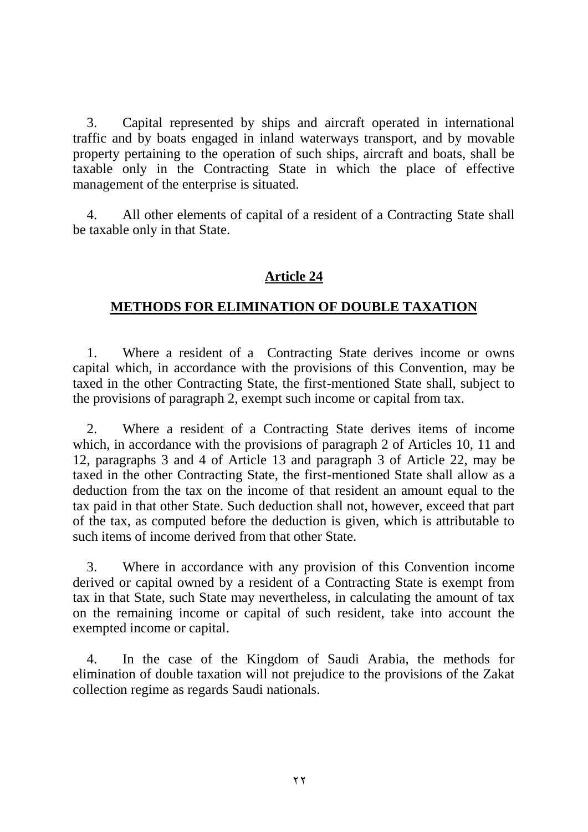3. Capital represented by ships and aircraft operated in international traffic and by boats engaged in inland waterways transport, and by movable property pertaining to the operation of such ships, aircraft and boats, shall be taxable only in the Contracting State in which the place of effective management of the enterprise is situated.

4. All other elements of capital of a resident of a Contracting State shall be taxable only in that State.

# **Article 24**

# **METHODS FOR ELIMINATION OF DOUBLE TAXATION**

1. Where a resident of a Contracting State derives income or owns capital which, in accordance with the provisions of this Convention, may be taxed in the other Contracting State, the first-mentioned State shall, subject to the provisions of paragraph 2, exempt such income or capital from tax.

2. Where a resident of a Contracting State derives items of income which, in accordance with the provisions of paragraph 2 of Articles 10, 11 and 12, paragraphs 3 and 4 of Article 13 and paragraph 3 of Article 22, may be taxed in the other Contracting State, the first-mentioned State shall allow as a deduction from the tax on the income of that resident an amount equal to the tax paid in that other State. Such deduction shall not, however, exceed that part of the tax, as computed before the deduction is given, which is attributable to such items of income derived from that other State.

3. Where in accordance with any provision of this Convention income derived or capital owned by a resident of a Contracting State is exempt from tax in that State, such State may nevertheless, in calculating the amount of tax on the remaining income or capital of such resident, take into account the exempted income or capital.

4. In the case of the Kingdom of Saudi Arabia, the methods for elimination of double taxation will not prejudice to the provisions of the Zakat collection regime as regards Saudi nationals.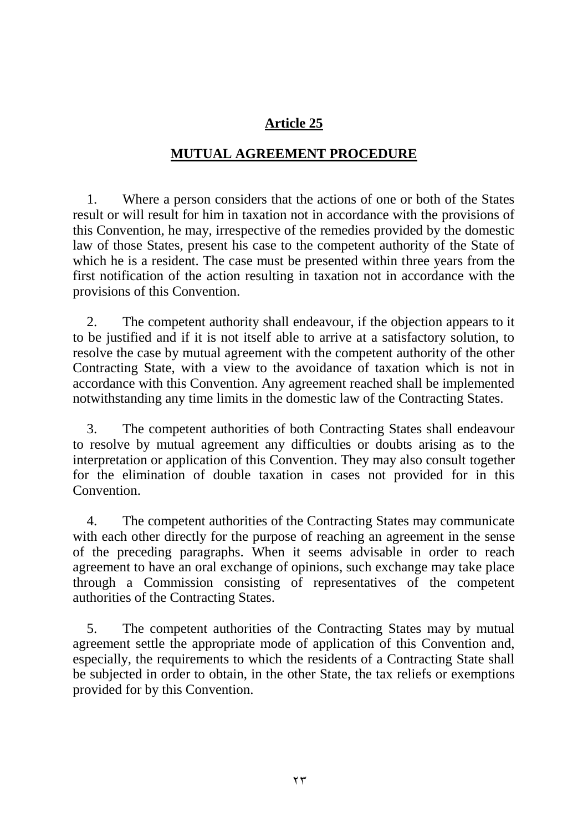# **MUTUAL AGREEMENT PROCEDURE**

1. Where a person considers that the actions of one or both of the States result or will result for him in taxation not in accordance with the provisions of this Convention, he may, irrespective of the remedies provided by the domestic law of those States, present his case to the competent authority of the State of which he is a resident. The case must be presented within three years from the first notification of the action resulting in taxation not in accordance with the provisions of this Convention.

2. The competent authority shall endeavour, if the objection appears to it to be justified and if it is not itself able to arrive at a satisfactory solution, to resolve the case by mutual agreement with the competent authority of the other Contracting State, with a view to the avoidance of taxation which is not in accordance with this Convention. Any agreement reached shall be implemented notwithstanding any time limits in the domestic law of the Contracting States.

3. The competent authorities of both Contracting States shall endeavour to resolve by mutual agreement any difficulties or doubts arising as to the interpretation or application of this Convention. They may also consult together for the elimination of double taxation in cases not provided for in this Convention.

4. The competent authorities of the Contracting States may communicate with each other directly for the purpose of reaching an agreement in the sense of the preceding paragraphs. When it seems advisable in order to reach agreement to have an oral exchange of opinions, such exchange may take place through a Commission consisting of representatives of the competent authorities of the Contracting States.

5. The competent authorities of the Contracting States may by mutual agreement settle the appropriate mode of application of this Convention and, especially, the requirements to which the residents of a Contracting State shall be subjected in order to obtain, in the other State, the tax reliefs or exemptions provided for by this Convention.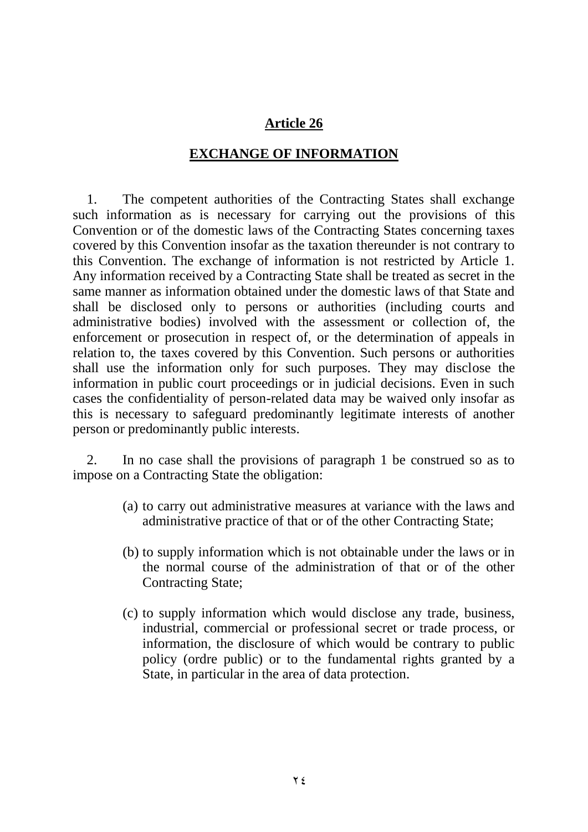## **EXCHANGE OF INFORMATION**

1. The competent authorities of the Contracting States shall exchange such information as is necessary for carrying out the provisions of this Convention or of the domestic laws of the Contracting States concerning taxes covered by this Convention insofar as the taxation thereunder is not contrary to this Convention. The exchange of information is not restricted by Article 1. Any information received by a Contracting State shall be treated as secret in the same manner as information obtained under the domestic laws of that State and shall be disclosed only to persons or authorities (including courts and administrative bodies) involved with the assessment or collection of, the enforcement or prosecution in respect of, or the determination of appeals in relation to, the taxes covered by this Convention. Such persons or authorities shall use the information only for such purposes. They may disclose the information in public court proceedings or in judicial decisions. Even in such cases the confidentiality of person-related data may be waived only insofar as this is necessary to safeguard predominantly legitimate interests of another person or predominantly public interests.

2. In no case shall the provisions of paragraph 1 be construed so as to impose on a Contracting State the obligation:

- (a) to carry out administrative measures at variance with the laws and administrative practice of that or of the other Contracting State;
- (b) to supply information which is not obtainable under the laws or in the normal course of the administration of that or of the other Contracting State;
- (c) to supply information which would disclose any trade, business, industrial, commercial or professional secret or trade process, or information, the disclosure of which would be contrary to public policy (ordre public) or to the fundamental rights granted by a State, in particular in the area of data protection.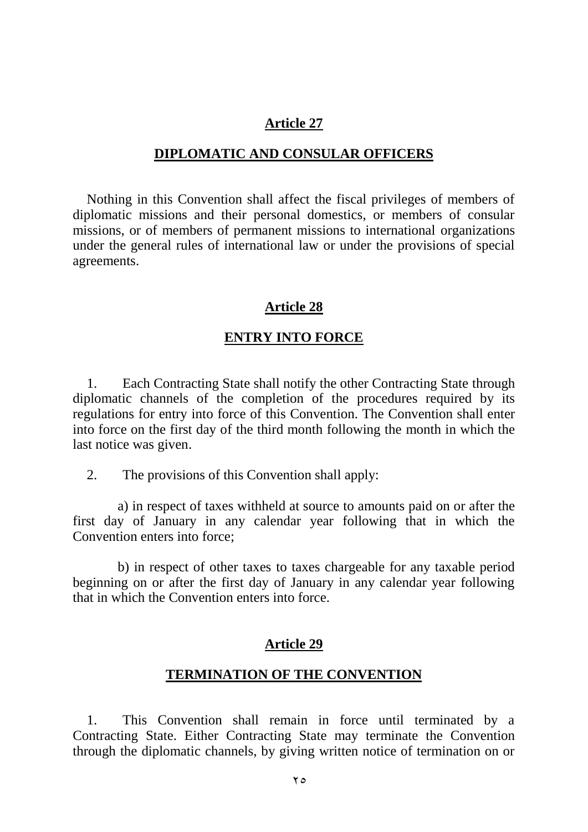#### **DIPLOMATIC AND CONSULAR OFFICERS**

Nothing in this Convention shall affect the fiscal privileges of members of diplomatic missions and their personal domestics, or members of consular missions, or of members of permanent missions to international organizations under the general rules of international law or under the provisions of special agreements.

#### **Article 28**

#### **ENTRY INTO FORCE**

1. Each Contracting State shall notify the other Contracting State through diplomatic channels of the completion of the procedures required by its regulations for entry into force of this Convention. The Convention shall enter into force on the first day of the third month following the month in which the last notice was given.

2. The provisions of this Convention shall apply:

a) in respect of taxes withheld at source to amounts paid on or after the first day of January in any calendar year following that in which the Convention enters into force;

b) in respect of other taxes to taxes chargeable for any taxable period beginning on or after the first day of January in any calendar year following that in which the Convention enters into force.

#### **Article 29**

#### **TERMINATION OF THE CONVENTION**

1. This Convention shall remain in force until terminated by a Contracting State. Either Contracting State may terminate the Convention through the diplomatic channels, by giving written notice of termination on or